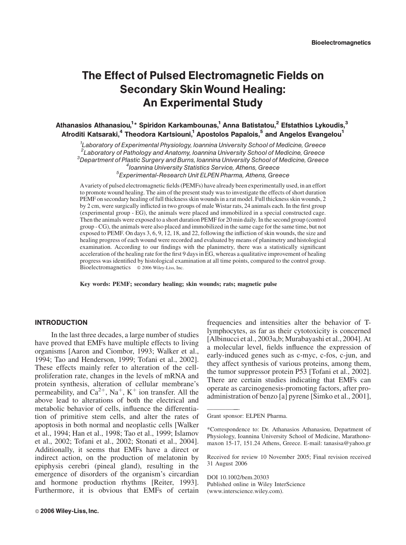# The Effect of Pulsed Electromagnetic Fields on Secondary SkinWound Healing: An Experimental Study

Athanasios Athanasiou,<sup>1</sup>\* Spiridon Karkambounas,<sup>1</sup> Anna Batistatou,<sup>2</sup> Efstathios Lykoudis,<sup>3</sup> Afroditi Katsaraki,<sup>4</sup> Theodora Kartsiouni,<sup>1</sup> Apostolos Papalois,<sup>5</sup> and Angelos Evangelou<sup>1</sup>

<sup>1</sup> Laboratory of Experimental Physiology, Ioannina University School of Medicine, Greece <sup>2</sup> Laboratory of Pathology and Anatomy, Ioannina University School of Medicine, Greece<br><sup>3</sup> Department of Plastic Surgery and Burns, Joannina University School of Medicine, Greece  $3$ Department of Plastic Surgery and Burns, Ioannina University School of Medicine, Greece <sup>4</sup> Ioannina University Statistics Service, Athens, Greece Experimental-Research Unit ELPEN Pharma, Athens, Greece

Avariety of pulsed electromagnetic fields (PEMFs) have already been experimentally used, in an effort to promote wound healing. The aim of the present study was to investigate the effects of short duration PEMF on secondary healing of full thickness skin wounds in a rat model. Full thickness skin wounds, 2 by 2 cm, were surgically inflicted in two groups of male Wistar rats, 24 animals each. In the first group (experimental group - EG), the animals were placed and immobilized in a special constructed cage. Then the animals were exposed to a short duration PEMF for 20 min daily. In the second group (control group - CG), the animals were also placed and immobilized in the same cage for the same time, but not exposed to PEMF. On days 3, 6, 9, 12, 18, and 22, following the infliction of skin wounds, the size and healing progress of each wound were recorded and evaluated by means of planimetry and histological examination. According to our findings with the planimetry, there was a statistically significant acceleration of the healing rate for the first 9 days in EG, whereas a qualitative improvement of healing progress was identified by histological examination at all time points, compared to the control group. Bioelectromagnetics  $\circ$  2006 Wiley-Liss, Inc.

Key words: PEMF; secondary healing; skin wounds; rats; magnetic pulse

# INTRODUCTION

In the last three decades, a large number of studies have proved that EMFs have multiple effects to living organisms [Aaron and Ciombor, 1993; Walker et al., 1994; Tao and Henderson, 1999; Tofani et al., 2002]. These effects mainly refer to alteration of the cellproliferation rate, changes in the levels of mRNA and protein synthesis, alteration of cellular membrane's permeability, and  $Ca^{2+}$ , Na<sup>+</sup>, K<sup>+</sup> ion transfer. All the above lead to alterations of both the electrical and metabolic behavior of cells, influence the differentiation of primitive stem cells, and alter the rates of apoptosis in both normal and neoplastic cells [Walker et al., 1994; Han et al., 1998; Tao et al., 1999; Islamov et al., 2002; Tofani et al., 2002; Stonati et al., 2004]. Additionally, it seems that EMFs have a direct or indirect action, on the production of melatonin by epiphysis cerebri (pineal gland), resulting in the emergence of disorders of the organism's circardian and hormone production rhythms [Reiter, 1993]. Furthermore, it is obvious that EMFs of certain frequencies and intensities alter the behavior of Tlymphocytes, as far as their cytotoxicity is concerned [Albinucci et al., 2003a,b; Murabayashi et al., 2004]. At a molecular level, fields influence the expression of early-induced genes such as c-myc, c-fos, c-jun, and they affect synthesis of various proteins, among them, the tumor suppressor protein P53 [Tofani et al., 2002]. There are certain studies indicating that EMFs can operate as carcinogenesis-promoting factors, after proadministration of benzo [a] pyrene [Simko et al., 2001],

——————

DOI 10.1002/bem.20303 Published online in Wiley InterScience (www.interscience.wiley.com).

Grant sponsor: ELPEN Pharma.

<sup>\*</sup>Correspondence to: Dr. Athanasios Athanasiou, Department of Physiology, Ioannina University School of Medicine, Marathonomaxon 15-17, 151.24 Athens, Greece. E-mail: tanasisa@yahoo.gr

Received for review 10 November 2005; Final revision received 31 August 2006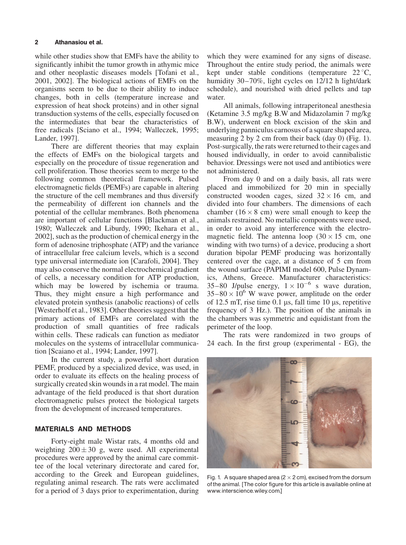while other studies show that EMFs have the ability to significantly inhibit the tumor growth in athymic mice and other neoplastic diseases models [Tofani et al., 2001, 2002]. The biological actions of EMFs on the organisms seem to be due to their ability to induce changes, both in cells (temperature increase and expression of heat shock proteins) and in other signal transduction systems of the cells, especially focused on the intermediates that bear the characteristics of free radicals [Sciano et al., 1994; Walleczek, 1995; Lander, 1997].

There are different theories that may explain the effects of EMFs on the biological targets and especially on the procedure of tissue regeneration and cell proliferation. Those theories seem to merge to the following common theoretical framework. Pulsed electromagnetic fields (PEMFs) are capable in altering the structure of the cell membranes and thus diversify the permeability of different ion channels and the potential of the cellular membranes. Both phenomena are important of cellular functions [Blackman et al., 1980; Walleczek and Liburdy, 1990; Ikehara et al., 2002], such as the production of chemical energy in the form of adenosine triphosphate (ATP) and the variance of intracellular free calcium levels, which is a second type universal intermediate ion [Carafoli, 2004]. They may also conserve the normal electrochemical gradient of cells, a necessary condition for ATP production, which may be lowered by ischemia or trauma. Thus, they might ensure a high performance and elevated protein synthesis (anabolic reactions) of cells [Westerholf et al., 1983]. Other theories suggest that the primary actions of EMFs are correlated with the production of small quantities of free radicals within cells. These radicals can function as mediator molecules on the systems of intracellular communication [Scaiano et al., 1994; Lander, 1997].

In the current study, a powerful short duration PEMF, produced by a specialized device, was used, in order to evaluate its effects on the healing process of surgically created skin wounds in a rat model. The main advantage of the field produced is that short duration electromagnetic pulses protect the biological targets from the development of increased temperatures.

## MATERIALS AND METHODS

Forty-eight male Wistar rats, 4 months old and weighting  $200 \pm 30$  g, were used. All experimental procedures were approved by the animal care committee of the local veterinary directorate and cared for, according to the Greek and European guidelines, regulating animal research. The rats were acclimated for a period of 3 days prior to experimentation, during

which they were examined for any signs of disease. Throughout the entire study period, the animals were kept under stable conditions (temperature  $22^{\circ}$ C, humidity 30–70%, light cycles on 12/12 h light/dark schedule), and nourished with dried pellets and tap water.

All animals, following intraperitoneal anesthesia (Ketamine 3.5 mg/kg B.W and Midazolamin 7 mg/kg B.W), underwent en block excision of the skin and underlying panniculus carnosus of a square shaped area, measuring 2 by 2 cm from their back (day 0) (Fig. 1). Post-surgically, the rats were returned to their cages and housed individually, in order to avoid cannibalistic behavior. Dressings were not used and antibiotics were not administered.

From day 0 and on a daily basis, all rats were placed and immobilized for 20 min in specially constructed wooden cages, sized  $32 \times 16$  cm, and divided into four chambers. The dimensions of each chamber  $(16 \times 8 \text{ cm})$  were small enough to keep the animals restrained. No metallic components were used, in order to avoid any interference with the electromagnetic field. The antenna loop  $(30 \times 15)$  cm, one winding with two turns) of a device, producing a short duration bipolar PEMF producing was horizontally centered over the cage, at a distance of 5 cm from the wound surface (PAPIMI model 600, Pulse Dynamics, Athens, Greece. Manufacturer characteristics: 35–80 J/pulse energy,  $1 \times 10^{-6}$  s wave duration,  $35-80 \times 10^6$  W wave power, amplitude on the order of 12.5 mT, rise time  $0.1 \mu s$ , fall time 10  $\mu s$ , repetitive frequency of 3 Hz.). The position of the animals in the chambers was symmetric and equidistant from the perimeter of the loop.

The rats were randomized in two groups of 24 each. In the first group (experimental - EG), the



Fig. 1. A square shaped area (2  $\times$  2 cm), excised from the dorsum ofthe animal. [The color figure for this article is available online at www.interscience.wiley.com.]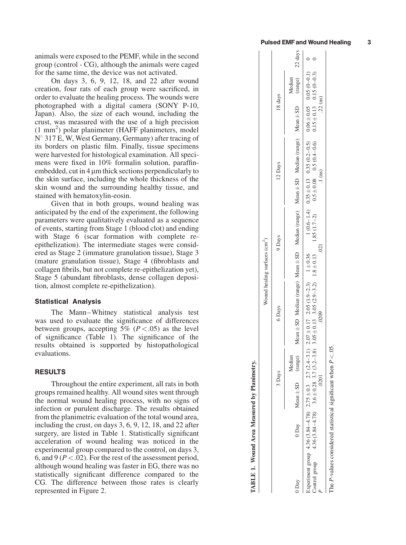animals were exposed to the PEMF, while in the second group (control - CG), although the animals were caged for the same time, the device was not activated.

On days 3, 6, 9, 12, 18, and 22 after wound creation, four rats of each group were sacrificed, in order to evaluate the healing process. The wounds were photographed with a digital camera (SONY P-10, Japan). Also, the size of each wound, including the crust, was measured with the use of a high precision (1 mm<sup>2</sup>) polar planimeter (HAFF planimeters, model  $N^{\circ}$  317 E, W, West Germany, Germany) after tracing of its borders on plastic film. Finally, tissue specimens were harvested for histological examination. All specimens were fixed in 10% formalin solution, paraffinembedded, cut in  $4 \mu$ m thick sections perpendicularly to the skin surface, including the whole thickness of the skin wound and the surrounding healthy tissue, and stained with hematoxylin-eosin.

Given that in both groups, wound healing was anticipated by the end of the experiment, the following parameters were qualitatively evaluated as a sequence of events, starting from Stage 1 (blood clot) and ending with Stage 6 (scar formation with complete reepithelization). The intermediate stages were considered as Stage 2 (immature granulation tissue), Stage 3 (mature granulation tissue), Stage 4 (fibroblasts and collagen fibrils, but not complete re-epithelization yet), Stage 5 (abundant fibroblasts, dense collagen deposition, almost complete re-epithelization).

## Statistical Analysis

The Mann–Whitney statistical analysis test was used to evaluate the significance of differences between groups, accepting 5% ( $P < .05$ ) as the level of significance (Table 1). The significance of the results obtained is supported by histopathological evaluations.

## RESULTS

Throughout the entire experiment, all rats in both groups remained healthy. All wound sites went through the normal wound healing process, with no signs of infection or purulent discharge. The results obtained from the planimetric evaluation of the total wound area, including the crust, on days 3, 6, 9, 12, 18, and 22 after surgery, are listed in Table 1. Statistically significant acceleration of wound healing was noticed in the experimental group compared to the control, on days 3, 6, and 9 ( $P < .02$ ). For the rest of the assessment period, although wound healing was faster in EG, there was no statistically significant difference compared to the CG. The difference between those rates is clearly represented in Figure 2.

|                                |         | 22 days                                                                                                      |                                                                                                                                                                                                                                  |
|--------------------------------|---------|--------------------------------------------------------------------------------------------------------------|----------------------------------------------------------------------------------------------------------------------------------------------------------------------------------------------------------------------------------|
| Wound healing surfaces $(cm2)$ | 18 days | Aedian                                                                                                       |                                                                                                                                                                                                                                  |
|                                |         |                                                                                                              |                                                                                                                                                                                                                                  |
|                                | 12 Days |                                                                                                              | 1.85 (1.7-2) $0.5 \pm 0.08$ $0.5 (0.4-0.6)$ $0.15 \pm 0.13$ $0.15 (0-0.3)$                                                                                                                                                       |
|                                |         |                                                                                                              |                                                                                                                                                                                                                                  |
|                                | 9 Days  | Mean $\pm$ SD Median (range) Mean $\pm$ SD Median (range) Mean $\pm$ SD Median (range) Mean $\pm$ SD (range) | xperiment group 4.36 (3.84-4.78) $2.75 \pm 0.3$ $2.75 \pm 0.3$ $2.76 \pm 0.17$ $2.05 \pm 0.19 - 2.7$ $(2.4-3.1)$ $2.07 \pm 0.136$ $1.4-3.5$ $1.4-3.5$ $1.4-3.5 \pm 0.13$ $0.35 \pm 0.5$ $0.6 \pm 0.6$ $1.4-0.05$ $0.05 \pm 0.11$ |
|                                |         |                                                                                                              |                                                                                                                                                                                                                                  |
|                                | 6 Days  |                                                                                                              |                                                                                                                                                                                                                                  |
|                                |         |                                                                                                              |                                                                                                                                                                                                                                  |
|                                | 3 Days  | Aedian                                                                                                       |                                                                                                                                                                                                                                  |
|                                |         | $Mean \pm SD$ (range)                                                                                        |                                                                                                                                                                                                                                  |
|                                |         | 0 Day                                                                                                        | $4.36(3.84-4.78)$ $3.6 \pm 0.28$ $3.7(3.2-3.8)$ $3.05 \pm 0.13$ $3.05(2.9-3.2)$ $1.8 \pm 0.13$                                                                                                                                   |
|                                |         | Day                                                                                                          | control group                                                                                                                                                                                                                    |

TABLE 1. Wound Area Measured by Planimetry.

**TABLE 1. Wound Area Measured by Planimetry.** 

 $(ns)$  $22$ 

 $.1$  (ns)

The P-values considered statistical significant when  $P < 05$ .

P .0201 .0209 .021 .1 (ns) .22 (ns)

.0209

.0201

021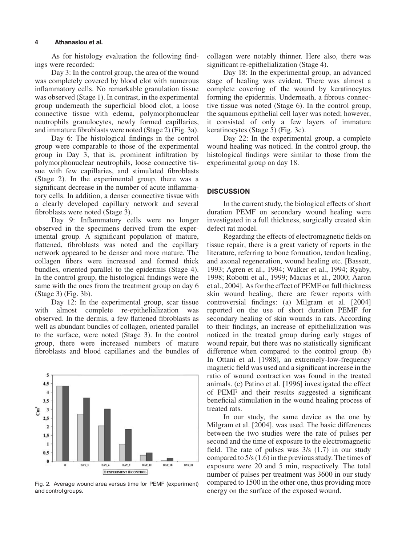#### 4 Athanasiou et al.

As for histology evaluation the following findings were recorded:

Day 3: In the control group, the area of the wound was completely covered by blood clot with numerous inflammatory cells. No remarkable granulation tissue was observed (Stage 1). In contrast, in the experimental group underneath the superficial blood clot, a loose connective tissue with edema, polymorphonuclear neutrophils granulocytes, newly formed capillaries, and immature fibroblasts were noted (Stage 2) (Fig. 3a).

Day 6: The histological findings in the control group were comparable to those of the experimental group in Day 3, that is, prominent infiltration by polymorphonuclear neutrophils, loose connective tissue with few capillaries, and stimulated fibroblasts (Stage 2). In the experimental group, there was a significant decrease in the number of acute inflammatory cells. In addition, a denser connective tissue with a clearly developed capillary network and several fibroblasts were noted (Stage 3).

Day 9: Inflammatory cells were no longer observed in the specimens derived from the experimental group. A significant population of mature, flattened, fibroblasts was noted and the capillary network appeared to be denser and more mature. The collagen fibers were increased and formed thick bundles, oriented parallel to the epidermis (Stage 4). In the control group, the histological findings were the same with the ones from the treatment group on day 6 (Stage 3) (Fig. 3b).

Day 12: In the experimental group, scar tissue with almost complete re-epithelialization was observed. In the dermis, a few flattened fibroblasts as well as abundant bundles of collagen, oriented parallel to the surface, were noted (Stage 3). In the control group, there were increased numbers of mature fibroblasts and blood capillaries and the bundles of



Fig. 2. Average wound area versus time for PEMF (experiment) and control groups.

collagen were notably thinner. Here also, there was significant re-epithelialization (Stage 4).

Day 18: In the experimental group, an advanced stage of healing was evident. There was almost a complete covering of the wound by keratinocytes forming the epidermis. Underneath, a fibrous connective tissue was noted (Stage 6). In the control group, the squamous epithelial cell layer was noted; however, it consisted of only a few layers of immature keratinocytes (Stage 5) (Fig. 3c).

Day 22: In the experimental group, a complete wound healing was noticed. In the control group, the histological findings were similar to those from the experimental group on day 18.

## **DISCUSSION**

In the current study, the biological effects of short duration PEMF on secondary wound healing were investigated in a full thickness, surgically created skin defect rat model.

Regarding the effects of electromagnetic fields on tissue repair, there is a great variety of reports in the literature, referring to bone formation, tendon healing, and axonal regeneration, wound healing etc. [Bassett, 1993; Agren et al., 1994; Walker et al., 1994; Ryaby, 1998; Robotti et al., 1999; Macias et al., 2000; Aaron et al., 2004]. As for the effect of PEMF on full thickness skin wound healing, there are fewer reports with controversial findings: (a) Milgram et al. [2004] reported on the use of short duration PEMF for secondary healing of skin wounds in rats. According to their findings, an increase of epithelialization was noticed in the treated group during early stages of wound repair, but there was no statistically significant difference when compared to the control group. (b) In Ottani et al. [1988], an extremely-low-frequency magnetic field was used and a significant increase in the ratio of wound contraction was found in the treated animals. (c) Patino et al. [1996] investigated the effect of PEMF and their results suggested a significant beneficial stimulation in the wound healing process of treated rats.

In our study, the same device as the one by Milgram et al. [2004], was used. The basic differences between the two studies were the rate of pulses per second and the time of exposure to the electromagnetic field. The rate of pulses was 3/s (1.7) in our study compared to 5/s (1.6) in the previous study. The times of exposure were 20 and 5 min, respectively. The total number of pulses per treatment was 3600 in our study compared to 1500 in the other one, thus providing more energy on the surface of the exposed wound.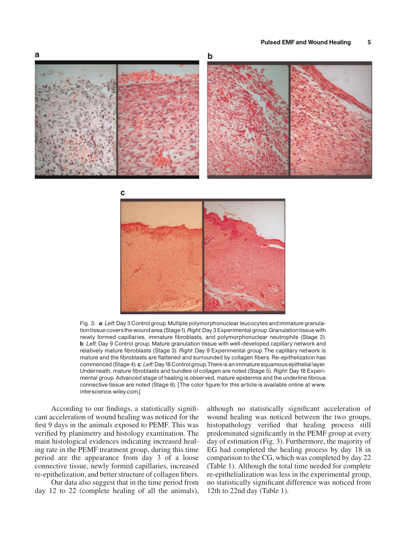

Fig. 3. a: Left: Day 3 Control group. Multiple polymorphonuclear leucocytes and immature granulation tissue covers the wound area (Stage 1). Right: Day 3 Experimental group. Granulation tissue with newly formed capillaries, immature fibroblasts, and polymorphonuclear neutrophils (Stage 2). b: Left: Day 9 Control group. Mature granulation tissue with well-developed capillary network and relatively mature fibroblasts (Stage 3). Right: Day 9 Experimental group. The capillary network is mature and the fibroblasts are flattened and surrounded by collagen fibers. Re-epithelization has commenced (Stage 4). c: Left: Day 18 Control group. There is an immature squamous epithelial layer. Underneath, mature fibroblasts and bundles of collagen are noted (Stage 5). Right: Day 18 Experimental group. Advanced stage of healing is observed, mature epidermis and the underline fibrous connective tissue are noted (Stage 6). [The color figure for this article is available online at www. interscience.wiley.com.]

According to our findings, a statistically significant acceleration of wound healing was noticed for the first 9 days in the animals exposed to PEMF. This was verified by planimetry and histology examination. The main histological evidences indicating increased healing rate in the PEMF treatment group, during this time period are the appearance from day 3 of a loose connective tissue, newly formed capillaries, increased re-epithelization, and better structure of collagen fibers.

Our data also suggest that in the time period from day 12 to 22 (complete healing of all the animals),

although no statistically significant acceleration of wound healing was noticed between the two groups, histopathology verified that healing process still predominated significantly in the PEMF group at every day of estimation (Fig. 3). Furthermore, the majority of EG had completed the healing process by day 18 in comparison to the CG, which was completed by day 22 (Table 1). Although the total time needed for complete re-epithelialization was less in the experimental group, no statistically significant difference was noticed from 12th to 22nd day (Table 1).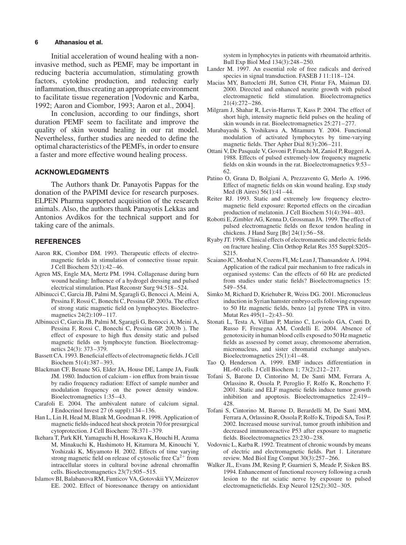#### 6 Athanasiou et al.

Initial acceleration of wound healing with a noninvasive method, such as PEMF, may be important in reducing bacteria accumulation, stimulating growth factors, cytokine production, and reducing early inflammation, thus creating an appropriate environment to facilitate tissue regeneration [Vodovnic and Karba, 1992; Aaron and Ciombor, 1993; Aaron et al., 2004].

In conclusion, according to our findings, short duration PEMF seem to facilitate and improve the quality of skin wound healing in our rat model. Nevertheless, further studies are needed to define the optimal characteristics of the PEMFs, in order to ensure a faster and more effective wound healing process.

# ACKNOWLEDGMENTS

The Authors thank Dr. Panayotis Pappas for the donation of the PAPIMI device for research purposes. ELPEN Pharma supported acquisition of the research animals. Also, the authors thank Panayotis Lekkas and Antonios Avdikos for the technical support and for taking care of the animals.

## **REFERENCES**

- Aaron RK, Ciombor DM. 1993. Therapeutic effects of electromagnetic fields in stimulation of connective tissue repair. J Cell Biochem 52(1):42–46.
- Agren MS, Engle MA, Mertz PM. 1994. Collagenase during burn wound healing: Influence of a hydrogel dressing and pulsed electrical stimulation. Plast Reconstr Surg 94:518–524.
- Albinucci C, Garcia JB, Palmi M, Sgaragli G, Benocci A, Meini A, Pessina F, Rossi C, Bonechi C, Pessina GP. 2003a. The effect of strong static magnetic field on lymphocytes. Bioelectromagnetics 24(2):109–117.
- Albinucci C, Garcia JB, Palmi M, Sgaragli G, Benocci A, Meini A, Pessina F, Rossi C, Bonechi C, Pessina GP. 2003b ). The effect of exposure to high flux density static and pulsed magnetic fields on lymphocyte function. Bioelectromagnetics 24(3): 373–379.
- Bassett CA. 1993. Beneficial effects of electromagnetic fields. J Cell Biochem 51(4):387–393.
- Blackman CF, Benane SG, Elder JA, House DE, Lampe JA, Faulk JM. 1980. Induction of calcium - ion efflux from brain tissue by radio frequency radiation: Effect of sample number and modulation frequency on the power density window. Bioelectromagnetics 1:35–43.
- Carafoli E. 2004. The ambivalent nature of calcium signal. J Endocrinol Invest 27 (6 suppl):134–136.
- Han L, Lin H, Head M, Blank M, Goodman R. 1998. Application of magnetic fields-induced heat shock protein 70 for presurgical cytoprotection. J Cell Biochem: 78:371–379.
- Ikehara T, Park KH, Yamaguchi H, Hosokawa K, Houchi H, Azuma M, Minakuchi K, Hashimoto H, Kitamura M, Kinouchi Y, Yoshizaki K, Miyamoto H. 2002. Effects of time varying strong magnetic field on release of cytosolic free  $Ca^{2+}$  from intracellular stores in cultural bovine adrenal chromaffin cells. Bioelectromagnetics 23(7):505–515.
- Islamov BI, Balabanova RM, Funticov VA, Gotovskii YV, Meizerov EE. 2002. Effect of bioresonance therapy on antioxidant

system in lymphocytes in patients with rheumatoid arthritis. Bull Exp Biol Med 134(3):248–250.

- Lander M. 1997. An essential role of free radicals and derived species in signal transduction. FASEB J 11:118–124.
- Macias MY, Battocletti JH, Sutton CH, Pintar FA, Maiman DJ. 2000. Directed and enhanced neurite growth with pulsed electromagnetic field stimulation. Bioelectromagnetics 21(4):272–286.
- Milgram J, Shahar R, Levin-Harrus T, Kass P. 2004. The effect of short high, intensity magnetic field pulses on the healing of skin wounds in rat. Bioelectromagnetics 25:271–277.
- Murabayashi S, Yoshikawa A, Mitamura Y. 2004. Functional modulation of activated lymphocytes by time-varying magnetic fields. Ther Apher Dial 8(3):206–211.
- Ottani V, De Pasquale V, Govoni P, Franchi M, Zaniol P, Ruggeri A. 1988. Effects of pulsed extremely-low frequency magnetic fields on skin wounds in the rat. Bioelectromagnetics 9:53– 62.
- Patino O, Grana D, Bolgiani A, Prezzavento G, Merlo A. 1996. Effect of magnetic fields on skin wound healing. Exp study Med (B Aires) 56(1):41–44.
- Reiter RJ. 1993. Static and extremely low frequency electromagnetic field exposure: Reported effects on the circadian production of melatonin. J Cell Biochem 51(4):394–403.
- Robotti E, Zimbler AG, Kenna D, Grossman JA. 1999. The effect of pulsed electromagnetic fields on flexor tendon healing in chickens. J Hand Surg [Br] 24(1):56–58.
- Ryaby JT. 1998. Clinical effects of electromanetic and electric fields on fracture healing. Clin Orthop Relat Res 355 Suppl:S205– S215.
- Scaiano JC, Monhat N, Cozens FI, Mc Lean J, Thansandote A. 1994. Application of the radical pair mechanism to free radicals in organised systems: Can the effects of 60 Hz are predicted from studies under static fields? Bioelectromagnetics 15: 549–554.
- Simko M, Richard D, Kriehuber R, Weiss DG. 2001. Micronucleus induction in Syrian hamster embryo cells following exposure to 50 Hz magnetic fields, benzo [a] pyrene TPA in vitro. Mutat Res 495(1–2):43–50.
- Stonati L, Testa A, Villani P, Marino C, Lovisolo GA, Conti D, Russo F, Fresegna AM, Cordelli E. 2004. Absence of genotoxicity in human blood cells exposed to 50 Hz magnetic fields as assessed by comet assay, chromosome aberration, micronucleus, and sister chromatid exchange analyses. Bioelectromagnetics 25(1):41–48.
- Tao Q, Henderson A. 1999. EMF induces differentiation in HL-60 cells. J Cell Biochem 1; 73(2):212–217.
- Tofani S, Barone D, Cintorino M, De Santi MM, Ferrara A, Orlassino R, Ossola P, Peroglio F, Rolfo K, Ronchetto F. 2001. Static and ELF magnetic fields induce tumor growth inhibition and apoptosis. Bioelectromagnetics 22:419– 428.
- Tofani S, Cintorino M, Barone D, Berardelli M, De Santi MM, Ferrara A, Orlassino R, Ossola P, Rolfo K, Tripodi SA, Tosi P. 2002. Increased mouse survival, tumor grouth inhibition and decreased immunoreactive P53 after exposure to magnetic fields. Bioelectromagnetics 23:230–238.
- Vodovnic L, Karba R. 1992. Treatment of chronic wounds by means of electric and electromagnetic fields. Part 1. Literature review. Med Biol Eng Comput 30(3):257–266.
- Walker JL, Evans JM, Resing P, Guarnieri S, Meade P, Sisken BS. 1994. Enhancement of functional recovery following a crush lesion to the rat sciatic nerve by exposure to pulsed electromagneticfields. Exp Neurol 125(2):302–305.